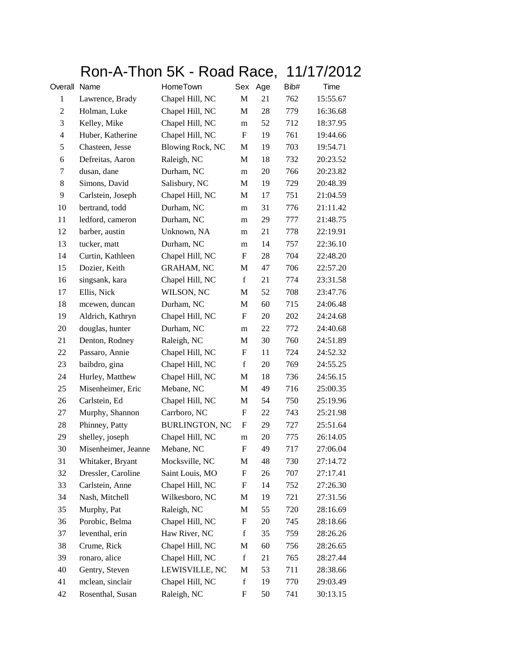## Ron-A-Thon 5K - Road Race, 11/17/2012

| Overall Name   |                     | HomeTown                | Sex                       | Age | Bib# | Time     |
|----------------|---------------------|-------------------------|---------------------------|-----|------|----------|
| 1              | Lawrence, Brady     | Chapel Hill, NC         | M                         | 21  | 762  | 15:55.67 |
| 2              | Holman, Luke        | Chapel Hill, NC         | M                         | 28  | 779  | 16:36.68 |
| 3              | Kelley, Mike        | Chapel Hill, NC         | m                         | 52  | 712  | 18:37.95 |
| $\overline{4}$ | Huber, Katherine    | Chapel Hill, NC         | F                         | 19  | 761  | 19:44.66 |
| 5              | Chasteen, Jesse     | <b>Blowing Rock, NC</b> | M                         | 19  | 703  | 19:54.71 |
| 6              | Defreitas, Aaron    | Raleigh, NC             | M                         | 18  | 732  | 20:23.52 |
| 7              | dusan, dane         | Durham, NC              | m                         | 20  | 766  | 20:23.82 |
| 8              | Simons, David       | Salisbury, NC           | M                         | 19  | 729  | 20:48.39 |
| 9              | Carlstein, Joseph   | Chapel Hill, NC         | M                         | 17  | 751  | 21:04.59 |
| 10             | bertrand, todd      | Durham, NC              | m                         | 31  | 776  | 21:11.42 |
| 11             | ledford, cameron    | Durham, NC              | m                         | 29  | 777  | 21:48.75 |
| 12             | barber, austin      | Unknown, NA             | m                         | 21  | 778  | 22:19.91 |
| 13             | tucker, matt        | Durham, NC              | m                         | 14  | 757  | 22:36.10 |
| 14             | Curtin, Kathleen    | Chapel Hill, NC         | F                         | 28  | 704  | 22:48.20 |
| 15             | Dozier, Keith       | <b>GRAHAM, NC</b>       | M                         | 47  | 706  | 22:57.20 |
| 16             | singsank, kara      | Chapel Hill, NC         | $\mathbf f$               | 21  | 774  | 23:31.58 |
| 17             | Ellis, Nick         | WILSON, NC              | M                         | 52  | 708  | 23:47.76 |
| 18             | mcewen, duncan      | Durham, NC              | M                         | 60  | 715  | 24:06.48 |
| 19             | Aldrich, Kathryn    | Chapel Hill, NC         | $\boldsymbol{\mathrm{F}}$ | 20  | 202  | 24:24.68 |
| 20             | douglas, hunter     | Durham, NC              | m                         | 22  | 772  | 24:40.68 |
| 21             | Denton, Rodney      | Raleigh, NC             | M                         | 30  | 760  | 24:51.89 |
| 22             | Passaro, Annie      | Chapel Hill, NC         | F                         | 11  | 724  | 24:52.32 |
| 23             | baibdro, gina       | Chapel Hill, NC         | $\mathbf f$               | 20  | 769  | 24:55.25 |
| 24             | Hurley, Matthew     | Chapel Hill, NC         | M                         | 18  | 736  | 24:56.15 |
| 25             | Misenheimer, Eric   | Mebane, NC              | M                         | 49  | 716  | 25:00.35 |
| 26             | Carlstein, Ed       | Chapel Hill, NC         | M                         | 54  | 750  | 25:19.96 |
| 27             | Murphy, Shannon     | Carrboro, NC            | F                         | 22  | 743  | 25:21.98 |
| 28             | Phinney, Patty      | <b>BURLINGTON, NC</b>   | F                         | 29  | 727  | 25:51.64 |
| 29             | shelley, joseph     | Chapel Hill, NC         | m                         | 20  | 775  | 26:14.05 |
| 30             | Misenheimer, Jeanne | Mebane, NC              | F                         | 49  | 717  | 27:06.04 |
| 31             | Whitaker, Bryant    | Mocksville, NC          | M                         | 48  | 730  | 27:14.72 |
| 32             | Dressler, Caroline  | Saint Louis, MO         | F                         | 26  | 707  | 27:17.41 |
| 33             | Carlstein, Anne     | Chapel Hill, NC         | F                         | 14  | 752  | 27:26.30 |
| 34             | Nash, Mitchell      | Wilkesboro, NC          | M                         | 19  | 721  | 27:31.56 |
| 35             | Murphy, Pat         | Raleigh, NC             | M                         | 55  | 720  | 28:16.69 |
| 36             | Porobic, Belma      | Chapel Hill, NC         | F                         | 20  | 745  | 28:18.66 |
| 37             | leventhal, erin     | Haw River, NC           | $\mathbf f$               | 35  | 759  | 28:26.26 |
| 38             | Crume, Rick         | Chapel Hill, NC         | M                         | 60  | 756  | 28:26.65 |
| 39             | ronaro, alice       | Chapel Hill, NC         | $\mathbf f$               | 21  | 765  | 28:27.44 |
| 40             | Gentry, Steven      | LEWISVILLE, NC          | M                         | 53  | 711  | 28:38.66 |
| 41             | mclean, sinclair    | Chapel Hill, NC         | $\mathbf f$               | 19  | 770  | 29:03.49 |
| 42             | Rosenthal, Susan    | Raleigh, NC             | F                         | 50  | 741  | 30:13.15 |